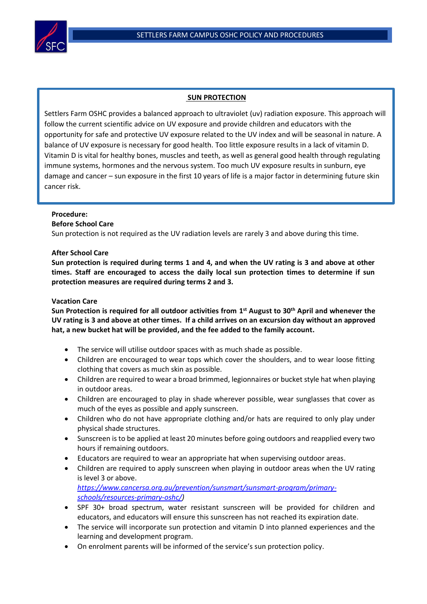

#### **SUN PROTECTION**

Settlers Farm OSHC provides a balanced approach to ultraviolet (uv) radiation exposure. This approach will follow the current scientific advice on UV exposure and provide children and educators with the opportunity for safe and protective UV exposure related to the UV index and will be seasonal in nature. A balance of UV exposure is necessary for good health. Too little exposure results in a lack of vitamin D. Vitamin D is vital for healthy bones, muscles and teeth, as well as general good health through regulating immune systems, hormones and the nervous system. Too much UV exposure results in sunburn, eye damage and cancer – sun exposure in the first 10 years of life is a major factor in determining future skin cancer risk.

# **Procedure:**

.

## **Before School Care**

Sun protection is not required as the UV radiation levels are rarely 3 and above during this time.

### **After School Care**

**Sun protection is required during terms 1 and 4, and when the UV rating is 3 and above at other times. Staff are encouraged to access the daily local sun protection times to determine if sun protection measures are required during terms 2 and 3.**

#### **Vacation Care**

**Sun Protection is required for all outdoor activities from 1 st August to 30th April and whenever the UV rating is 3 and above at other times. If a child arrives on an excursion day without an approved hat, a new bucket hat will be provided, and the fee added to the family account.**

- The service will utilise outdoor spaces with as much shade as possible.
- Children are encouraged to wear tops which cover the shoulders, and to wear loose fitting clothing that covers as much skin as possible.
- Children are required to wear a broad brimmed, legionnaires or bucket style hat when playing in outdoor areas.
- Children are encouraged to play in shade wherever possible, wear sunglasses that cover as much of the eyes as possible and apply sunscreen.
- Children who do not have appropriate clothing and/or hats are required to only play under physical shade structures.
- Sunscreen is to be applied at least 20 minutes before going outdoors and reapplied every two hours if remaining outdoors.
- Educators are required to wear an appropriate hat when supervising outdoor areas.
- Children are required to apply sunscreen when playing in outdoor areas when the UV rating is level 3 or above. *https://www.cancersa.org.au/prevention/sunsmart/sunsmart-program/primary-*

*schools/resources-primary-oshc/)*

- SPF 30+ broad spectrum, water resistant sunscreen will be provided for children and educators, and educators will ensure this sunscreen has not reached its expiration date.
- The service will incorporate sun protection and vitamin D into planned experiences and the learning and development program.
- On enrolment parents will be informed of the service's sun protection policy.